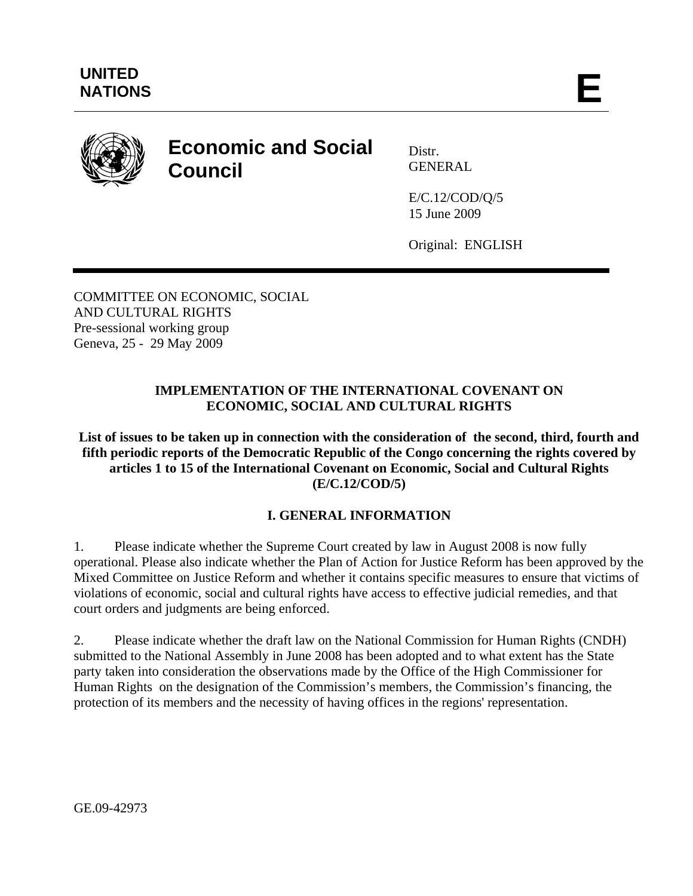

# **Economic and Social Council**

Distr. GENERAL

E/C.12/COD/Q/5 15 June 2009

Original: ENGLISH

COMMITTEE ON ECONOMIC, SOCIAL AND CULTURAL RIGHTS Pre-sessional working group Geneva, 25 - 29 May 2009

## **IMPLEMENTATION OF THE INTERNATIONAL COVENANT ON ECONOMIC, SOCIAL AND CULTURAL RIGHTS**

**List of issues to be taken up in connection with the consideration of the second, third, fourth and fifth periodic reports of the Democratic Republic of the Congo concerning the rights covered by articles 1 to 15 of the International Covenant on Economic, Social and Cultural Rights (E/C.12/COD/5)** 

# **I. GENERAL INFORMATION**

1. Please indicate whether the Supreme Court created by law in August 2008 is now fully operational. Please also indicate whether the Plan of Action for Justice Reform has been approved by the Mixed Committee on Justice Reform and whether it contains specific measures to ensure that victims of violations of economic, social and cultural rights have access to effective judicial remedies, and that court orders and judgments are being enforced.

2. Please indicate whether the draft law on the National Commission for Human Rights (CNDH) submitted to the National Assembly in June 2008 has been adopted and to what extent has the State party taken into consideration the observations made by the Office of the High Commissioner for Human Rights on the designation of the Commission's members, the Commission's financing, the protection of its members and the necessity of having offices in the regions' representation.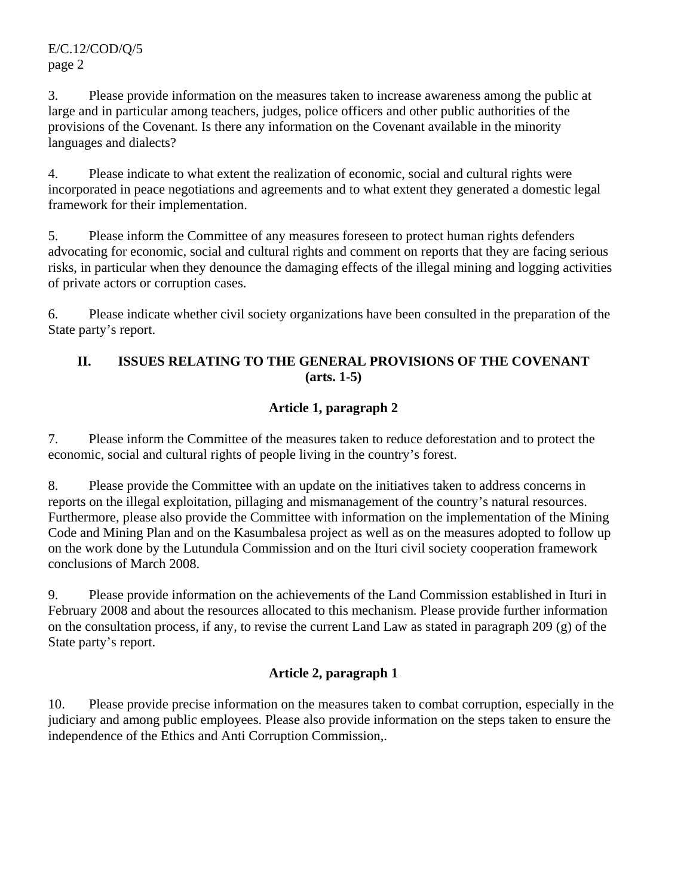E/C.12/COD/Q/5 page 2

3. Please provide information on the measures taken to increase awareness among the public at large and in particular among teachers, judges, police officers and other public authorities of the provisions of the Covenant. Is there any information on the Covenant available in the minority languages and dialects?

4. Please indicate to what extent the realization of economic, social and cultural rights were incorporated in peace negotiations and agreements and to what extent they generated a domestic legal framework for their implementation.

5. Please inform the Committee of any measures foreseen to protect human rights defenders advocating for economic, social and cultural rights and comment on reports that they are facing serious risks, in particular when they denounce the damaging effects of the illegal mining and logging activities of private actors or corruption cases.

6. Please indicate whether civil society organizations have been consulted in the preparation of the State party's report.

## **II. ISSUES RELATING TO THE GENERAL PROVISIONS OF THE COVENANT (arts. 1-5)**

# **Article 1, paragraph 2**

7. Please inform the Committee of the measures taken to reduce deforestation and to protect the economic, social and cultural rights of people living in the country's forest.

8. Please provide the Committee with an update on the initiatives taken to address concerns in reports on the illegal exploitation, pillaging and mismanagement of the country's natural resources. Furthermore, please also provide the Committee with information on the implementation of the Mining Code and Mining Plan and on the Kasumbalesa project as well as on the measures adopted to follow up on the work done by the Lutundula Commission and on the Ituri civil society cooperation framework conclusions of March 2008.

9. Please provide information on the achievements of the Land Commission established in Ituri in February 2008 and about the resources allocated to this mechanism. Please provide further information on the consultation process, if any, to revise the current Land Law as stated in paragraph 209 (g) of the State party's report.

# **Article 2, paragraph 1**

10. Please provide precise information on the measures taken to combat corruption, especially in the judiciary and among public employees. Please also provide information on the steps taken to ensure the independence of the Ethics and Anti Corruption Commission,.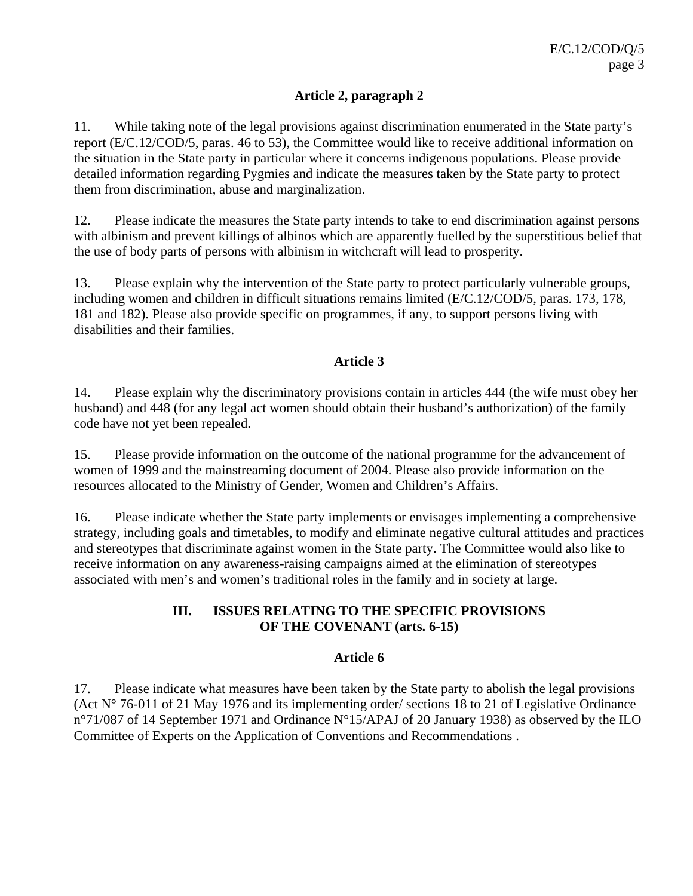#### **Article 2, paragraph 2**

11. While taking note of the legal provisions against discrimination enumerated in the State party's report (E/C.12/COD/5, paras. 46 to 53), the Committee would like to receive additional information on the situation in the State party in particular where it concerns indigenous populations. Please provide detailed information regarding Pygmies and indicate the measures taken by the State party to protect them from discrimination, abuse and marginalization.

12. Please indicate the measures the State party intends to take to end discrimination against persons with albinism and prevent killings of albinos which are apparently fuelled by the superstitious belief that the use of body parts of persons with albinism in witchcraft will lead to prosperity.

13. Please explain why the intervention of the State party to protect particularly vulnerable groups, including women and children in difficult situations remains limited (E/C.12/COD/5, paras. 173, 178, 181 and 182). Please also provide specific on programmes, if any, to support persons living with disabilities and their families.

#### **Article 3**

14. Please explain why the discriminatory provisions contain in articles 444 (the wife must obey her husband) and 448 (for any legal act women should obtain their husband's authorization) of the family code have not yet been repealed.

15. Please provide information on the outcome of the national programme for the advancement of women of 1999 and the mainstreaming document of 2004. Please also provide information on the resources allocated to the Ministry of Gender, Women and Children's Affairs.

16. Please indicate whether the State party implements or envisages implementing a comprehensive strategy, including goals and timetables, to modify and eliminate negative cultural attitudes and practices and stereotypes that discriminate against women in the State party. The Committee would also like to receive information on any awareness-raising campaigns aimed at the elimination of stereotypes associated with men's and women's traditional roles in the family and in society at large.

## **III. ISSUES RELATING TO THE SPECIFIC PROVISIONS OF THE COVENANT (arts. 6-15)**

#### **Article 6**

17. Please indicate what measures have been taken by the State party to abolish the legal provisions (Act N° 76-011 of 21 May 1976 and its implementing order/ sections 18 to 21 of Legislative Ordinance n°71/087 of 14 September 1971 and Ordinance N°15/APAJ of 20 January 1938) as observed by the ILO Committee of Experts on the Application of Conventions and Recommendations .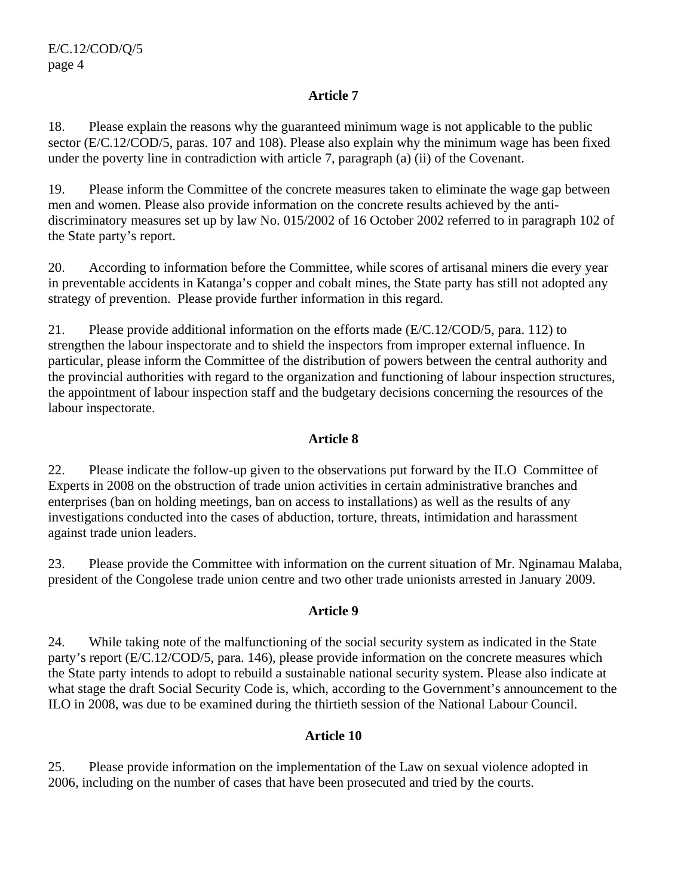#### **Article 7**

18. Please explain the reasons why the guaranteed minimum wage is not applicable to the public sector (E/C.12/COD/5, paras. 107 and 108). Please also explain why the minimum wage has been fixed under the poverty line in contradiction with article 7, paragraph (a) (ii) of the Covenant.

19. Please inform the Committee of the concrete measures taken to eliminate the wage gap between men and women. Please also provide information on the concrete results achieved by the antidiscriminatory measures set up by law No. 015/2002 of 16 October 2002 referred to in paragraph 102 of the State party's report.

20. According to information before the Committee, while scores of artisanal miners die every year in preventable accidents in Katanga's copper and cobalt mines, the State party has still not adopted any strategy of prevention. Please provide further information in this regard.

21. Please provide additional information on the efforts made (E/C.12/COD/5, para. 112) to strengthen the labour inspectorate and to shield the inspectors from improper external influence. In particular, please inform the Committee of the distribution of powers between the central authority and the provincial authorities with regard to the organization and functioning of labour inspection structures, the appointment of labour inspection staff and the budgetary decisions concerning the resources of the labour inspectorate.

# **Article 8**

22. Please indicate the follow-up given to the observations put forward by the ILO Committee of Experts in 2008 on the obstruction of trade union activities in certain administrative branches and enterprises (ban on holding meetings, ban on access to installations) as well as the results of any investigations conducted into the cases of abduction, torture, threats, intimidation and harassment against trade union leaders.

23. Please provide the Committee with information on the current situation of Mr. Nginamau Malaba, president of the Congolese trade union centre and two other trade unionists arrested in January 2009.

#### **Article 9**

24. While taking note of the malfunctioning of the social security system as indicated in the State party's report (E/C.12/COD/5, para. 146), please provide information on the concrete measures which the State party intends to adopt to rebuild a sustainable national security system. Please also indicate at what stage the draft Social Security Code is, which, according to the Government's announcement to the ILO in 2008, was due to be examined during the thirtieth session of the National Labour Council.

#### **Article 10**

25. Please provide information on the implementation of the Law on sexual violence adopted in 2006, including on the number of cases that have been prosecuted and tried by the courts.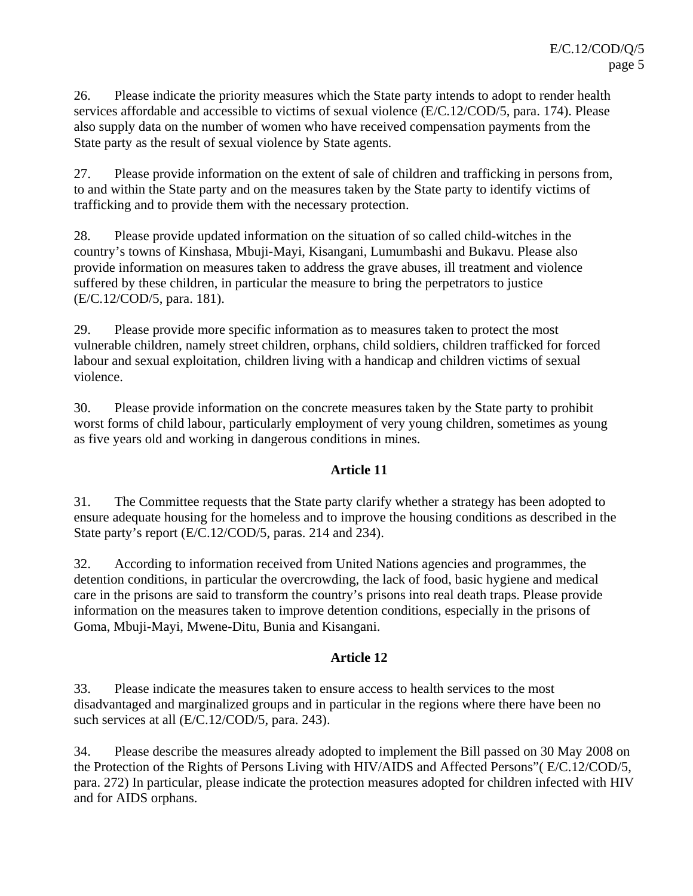26. Please indicate the priority measures which the State party intends to adopt to render health services affordable and accessible to victims of sexual violence (E/C.12/COD/5, para. 174). Please also supply data on the number of women who have received compensation payments from the State party as the result of sexual violence by State agents.

27. Please provide information on the extent of sale of children and trafficking in persons from, to and within the State party and on the measures taken by the State party to identify victims of trafficking and to provide them with the necessary protection.

28. Please provide updated information on the situation of so called child-witches in the country's towns of Kinshasa, Mbuji-Mayi, Kisangani, Lumumbashi and Bukavu. Please also provide information on measures taken to address the grave abuses, ill treatment and violence suffered by these children, in particular the measure to bring the perpetrators to justice (E/C.12/COD/5, para. 181).

29. Please provide more specific information as to measures taken to protect the most vulnerable children, namely street children, orphans, child soldiers, children trafficked for forced labour and sexual exploitation, children living with a handicap and children victims of sexual violence.

30. Please provide information on the concrete measures taken by the State party to prohibit worst forms of child labour, particularly employment of very young children, sometimes as young as five years old and working in dangerous conditions in mines.

#### **Article 11**

31. The Committee requests that the State party clarify whether a strategy has been adopted to ensure adequate housing for the homeless and to improve the housing conditions as described in the State party's report (E/C.12/COD/5, paras. 214 and 234).

32. According to information received from United Nations agencies and programmes, the detention conditions, in particular the overcrowding, the lack of food, basic hygiene and medical care in the prisons are said to transform the country's prisons into real death traps. Please provide information on the measures taken to improve detention conditions, especially in the prisons of Goma, Mbuji-Mayi, Mwene-Ditu, Bunia and Kisangani.

# **Article 12**

33. Please indicate the measures taken to ensure access to health services to the most disadvantaged and marginalized groups and in particular in the regions where there have been no such services at all (E/C.12/COD/5, para. 243).

34. Please describe the measures already adopted to implement the Bill passed on 30 May 2008 on the Protection of the Rights of Persons Living with HIV/AIDS and Affected Persons"( E/C.12/COD/5, para. 272) In particular, please indicate the protection measures adopted for children infected with HIV and for AIDS orphans.